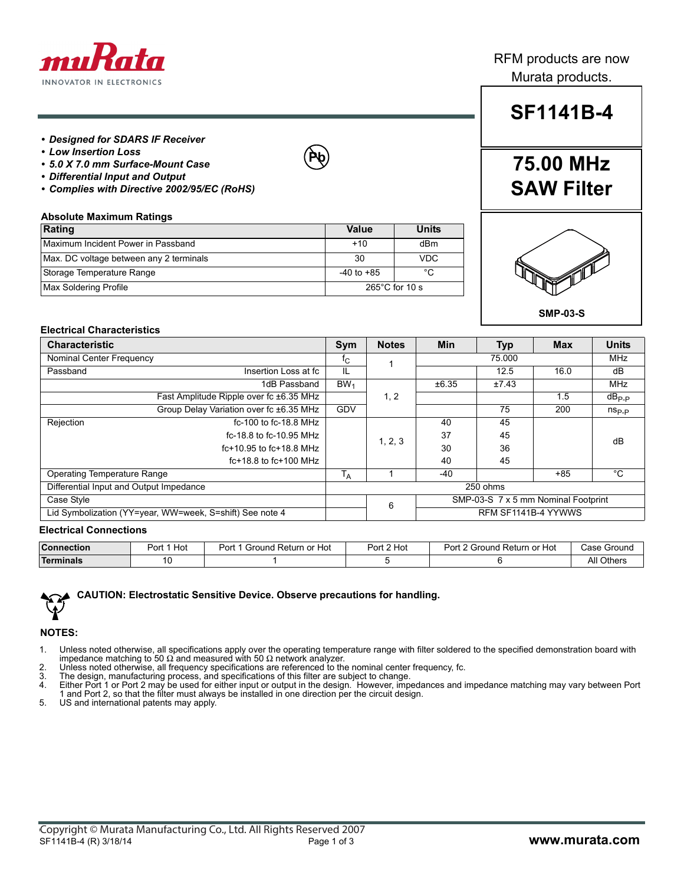

### RFM products are now Murata products.

#### *• Designed for SDARS IF Receiver*

- *Low Insertion Loss*
- *5.0 X 7.0 mm Surface-Mount Case*
- *Differential Input and Output*
- *Complies with Directive 2002/95/EC (RoHS)*

#### **Absolute Maximum Ratings**

| Rating                                  | Value                    | <b>Units</b> |  |
|-----------------------------------------|--------------------------|--------------|--|
| Maximum Incident Power in Passband      | $+10$                    | dBm          |  |
| Max. DC voltage between any 2 terminals | 30                       | VDC          |  |
| Storage Temperature Range               | $-40$ to $+85$           | °C           |  |
| Max Soldering Profile                   | $265^{\circ}$ C for 10 s |              |  |

## **SF1141B-4**

## **75.00 MHz SAW Filter**



#### **Electrical Characteristics**

| <b>Characteristic</b>                                    |                                         |                                          | <b>Notes</b> | Min    | <b>Typ</b>          | <b>Max</b> | <b>Units</b>   |
|----------------------------------------------------------|-----------------------------------------|------------------------------------------|--------------|--------|---------------------|------------|----------------|
| Nominal Center Frequency                                 |                                         | T <sub>C</sub>                           |              | 75.000 |                     |            | <b>MHz</b>     |
| Passband                                                 | Insertion Loss at fc                    | IL                                       |              |        | 12.5                | 16.0       | dB             |
|                                                          | 1dB Passband                            | BW <sub>1</sub>                          |              | ±6.35  | ±7.43               |            | MHz            |
|                                                          | Fast Amplitude Ripple over fc ±6.35 MHz |                                          | 1, 2         |        |                     | 1.5        | $dB_{P-P}$     |
|                                                          | Group Delay Variation over fc ±6.35 MHz | GDV                                      |              |        | 75                  | 200        | $n_{\rm Sp,p}$ |
| Rejection                                                | fc-100 to fc-18.8 MHz                   |                                          |              | 40     | 45                  |            |                |
| fc-18.8 to fc-10.95 MHz<br>$fc+10.95$ to $fc+18.8$ MHz   |                                         |                                          | 1, 2, 3      | 37     | 45                  |            | dB             |
|                                                          |                                         |                                          | 30           | 36     |                     |            |                |
|                                                          | $fc+18.8$ to $fc+100$ MHz               |                                          |              | 40     | 45                  |            |                |
| <b>Operating Temperature Range</b>                       |                                         | <sup>1</sup> A                           |              | $-40$  |                     | $+85$      | °C             |
| Differential Input and Output Impedance                  |                                         |                                          | 250 ohms     |        |                     |            |                |
| Case Style                                               |                                         | SMP-03-S 7 x 5 mm Nominal Footprint<br>6 |              |        |                     |            |                |
| Lid Symbolization (YY=year, WW=week, S=shift) See note 4 |                                         |                                          |              |        | RFM SF1141B-4 YYWWS |            |                |

**Pb**

#### **Electrical Connections**

| <b>Connection</b> | Hot<br>ימח<br>υı | Port<br>. Returr<br>or Hot ו<br>Ground | Port 2 Hot | <sup>2</sup> Ground r.<br>' Return or<br>$Part_{\sim}$<br>or Hot | Case<br>: Ground |
|-------------------|------------------|----------------------------------------|------------|------------------------------------------------------------------|------------------|
| <b>Terminals</b>  |                  |                                        |            |                                                                  | All Others       |



#### **NOTES:**

- 1. Unless noted otherwise, all specifications apply over the operating temperature range with filter soldered to the specified demonstration board with<br>impedance matching to 50 Ω and measured with 50 Ω network analyzer.<br>2
- 
- 
- 3. The design, manufacturing process, and specifications of this filter are subject to change.<br>4. Either Port 1 or Port 2 may be used for either input or output in the design. However, impedances and impedance matching may 1 and Port 2, so that the filter must always be installed in one direction per the circuit design. 5. US and international patents may apply.
-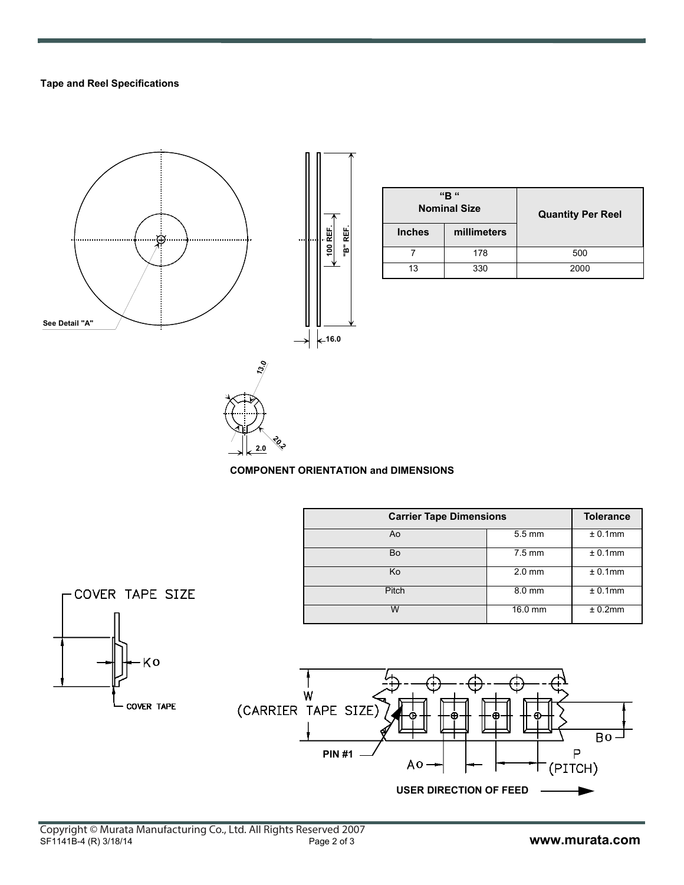#### **Tape and Reel Specifications**



| "B"<br><b>Nominal Size</b> |             | <b>Quantity Per Reel</b> |  |  |
|----------------------------|-------------|--------------------------|--|--|
| <b>Inches</b>              | millimeters |                          |  |  |
|                            | 178         | 500                      |  |  |
|                            | 330         | 2000                     |  |  |

**COMPONENT ORIENTATION and DIMENSIONS**

**20.2 2.0**

| <b>Carrier Tape Dimensions</b> | <b>Tolerance</b> |            |
|--------------------------------|------------------|------------|
| Ao                             | $5.5 \text{ mm}$ | $± 0.1$ mm |
| Bo                             | $7.5 \text{ mm}$ | $± 0.1$ mm |
| Ko                             | $2.0$ mm         | $± 0.1$ mm |
| Pitch                          | 8.0 mm           | $± 0.1$ mm |
| w                              | 16.0 mm          | ± 0.2mm    |



COVER TAPE SIZE

Kο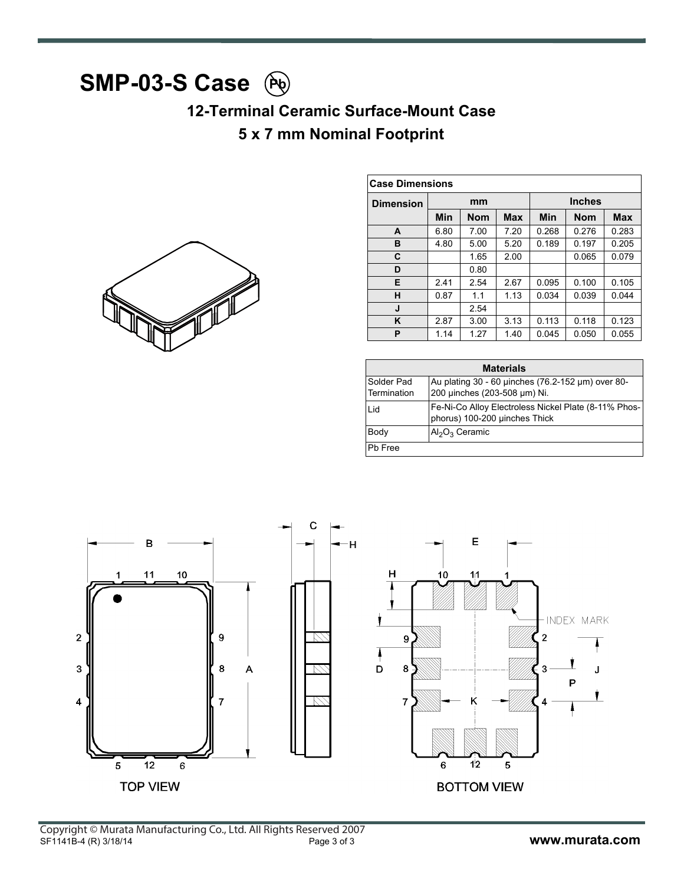# **SMP-03-S Case** Pb

### **12-Terminal Ceramic Surface-Mount Case 5 x 7 mm Nominal Footprint**



| <b>Case Dimensions</b> |      |            |            |       |               |            |
|------------------------|------|------------|------------|-------|---------------|------------|
| <b>Dimension</b>       |      | mm         |            |       | <b>Inches</b> |            |
|                        | Min  | <b>Nom</b> | <b>Max</b> | Min   | <b>Nom</b>    | <b>Max</b> |
| A                      | 6.80 | 7.00       | 7.20       | 0.268 | 0.276         | 0.283      |
| в                      | 4.80 | 5.00       | 5.20       | 0.189 | 0.197         | 0.205      |
| C                      |      | 1.65       | 2.00       |       | 0.065         | 0.079      |
| D                      |      | 0.80       |            |       |               |            |
| Е                      | 2.41 | 2.54       | 2.67       | 0.095 | 0.100         | 0.105      |
| н                      | 0.87 | 1.1        | 1.13       | 0.034 | 0.039         | 0.044      |
| J                      |      | 2.54       |            |       |               |            |
| K                      | 2.87 | 3.00       | 3.13       | 0.113 | 0.118         | 0.123      |
| P                      | 1.14 | 1.27       | 1.40       | 0.045 | 0.050         | 0.055      |

| <b>Materials</b>          |                                                                                       |  |  |  |
|---------------------------|---------------------------------------------------------------------------------------|--|--|--|
| Solder Pad<br>Termination | Au plating 30 - 60 µinches (76.2-152 µm) over 80-<br>200 µinches (203-508 µm) Ni.     |  |  |  |
| Lid                       | Fe-Ni-Co Alloy Electroless Nickel Plate (8-11% Phos-<br>phorus) 100-200 µinches Thick |  |  |  |
| Body                      | $Al_2O_3$ Ceramic                                                                     |  |  |  |
| Ph Free                   |                                                                                       |  |  |  |